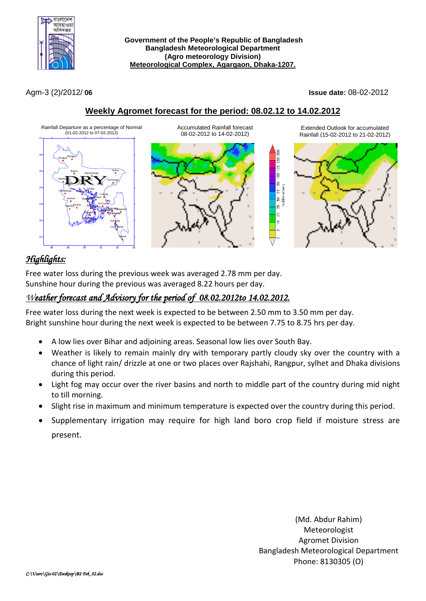

**Government of the People's Republic of Bangladesh Bangladesh Meteorological Department (Agro meteorology Division) Meteorological Complex, Agargaon, Dhaka-1207.**

Agm-3 (2)/2012/ **06 Issue date:** 08-02-2012

## **Weekly Agromet forecast for the period: 08.02.12 to 14.02.2012**



# *Highlights:*

Free water loss during the previous week was averaged 2.78 mm per day. Sunshine hour during the previous was averaged 8.22 hours per day.

## *Weather forecast and Advisory for the period of 08.02.2012to 14.02.2012.*

Free water loss during the next week is expected to be between 2.50 mm to 3.50 mm per day. Bright sunshine hour during the next week is expected to be between 7.75 to 8.75 hrs per day.

- A low lies over Bihar and adjoining areas. Seasonal low lies over South Bay.
- Weather is likely to remain mainly dry with temporary partly cloudy sky over the country with a chance of light rain/ drizzle at one or two places over Rajshahi, Rangpur, sylhet and Dhaka divisions during this period.
- Light fog may occur over the river basins and north to middle part of the country during mid night to till morning.
- Slight rise in maximum and minimum temperature is expected over the country during this period.
- Supplementary irrigation may require for high land boro crop field if moisture stress are present.

(Md. Abdur Rahim) Meteorologist Agromet Division Bangladesh Meteorological Department Phone: 8130305 (O)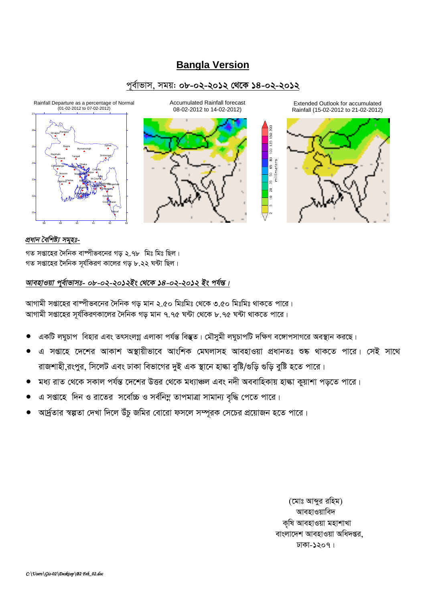# **Bangla Version**

### পূর্বাভাস, সময়: ০৮-০২-২০১২ থেকে ১৪-০২-২০১২

 $\overline{50}$  $\overline{25}$ lg<br>! e

65  $\mathbb{S}$  $\mathbb{S}^2$  $\overline{2}$ le





Extended Outlook for accumulated Rainfall (15-02-2012 to 21-02-2012)



#### প্ৰধান বৈশিষ্ট্য সমূহঃ-

গত সপ্তাহের দৈনিক বাস্পীভবনের গড় ২.৭৮ মিঃ মিঃ ছিল। গত সপ্তাহের দৈনিক সূর্যকিরণ কালের গড় ৮.২২ ঘন্টা ছিল।

### আবহাওয়া পূর্বাভাসঃ- ০৮-০২-২০১২ইং থেকে ১৪-০২-২০১২ ইং পর্যন্ত।

আগামী সপ্তাহের বাস্পীভবনের দৈনিক গড মান ২.৫০ মিঃমিঃ থেকে ৩.৫০ মিঃমিঃ থাকতে পারে। আগামী সপ্তাহের সূর্যকিরণকালের দৈনিক গড় মান ৭.৭৫ ঘন্টা থেকে ৮.৭৫ ঘন্টা থাকতে পারে।

- একটি লঘুচাপ বিহার এবং তৎসংলগ্ন এলাকা পর্যন্ত বিস্তৃত। মৌসুমী লঘুচাপটি দক্ষিণ বঙ্গোপসাগরে অবস্থান করছে।
- এ সপ্তাহে দেশের আকাশ অস্থায়ীভাবে আংশিক মেঘলাসহ আবহাওয়া প্রধানতঃ শুষ্ক থাকতে পারে। সেই সাথে রাজশাহী রংপুর, সিলেট এবং ঢাকা বিভাগের দুই এক স্থানে হাল্কা বুষ্টি/গুড়ি গুড়ি বুষ্টি হতে পারে।
- মধ্য রাত থেকে সকাল পর্যন্ত দেশের উত্তর থেকে মধ্যাঞ্চল এবং নদী অববাহিকায় হাঙ্কা কুয়াশা পড়তে পারে।
- এ সপ্তাহে দিন ও রাতের সর্বোচ্চ ও সর্বনিম্ন তাপমাত্রা সামান্য বৃদ্ধি পেতে পারে।
- আর্দ্রতার স্বল্পতা দেখা দিলে উঁচু জমির বোরো ফসলে সম্পূরক সেচের প্রয়োজন হতে পারে।

(মোঃ আব্দুর রহিম) আবহাওয়াবিদ কৃষি আবহাওয়া মহাশাখা বাংলাদেশ আবহাওয়া অধিদপ্তর, ঢাকা-১২০৭।